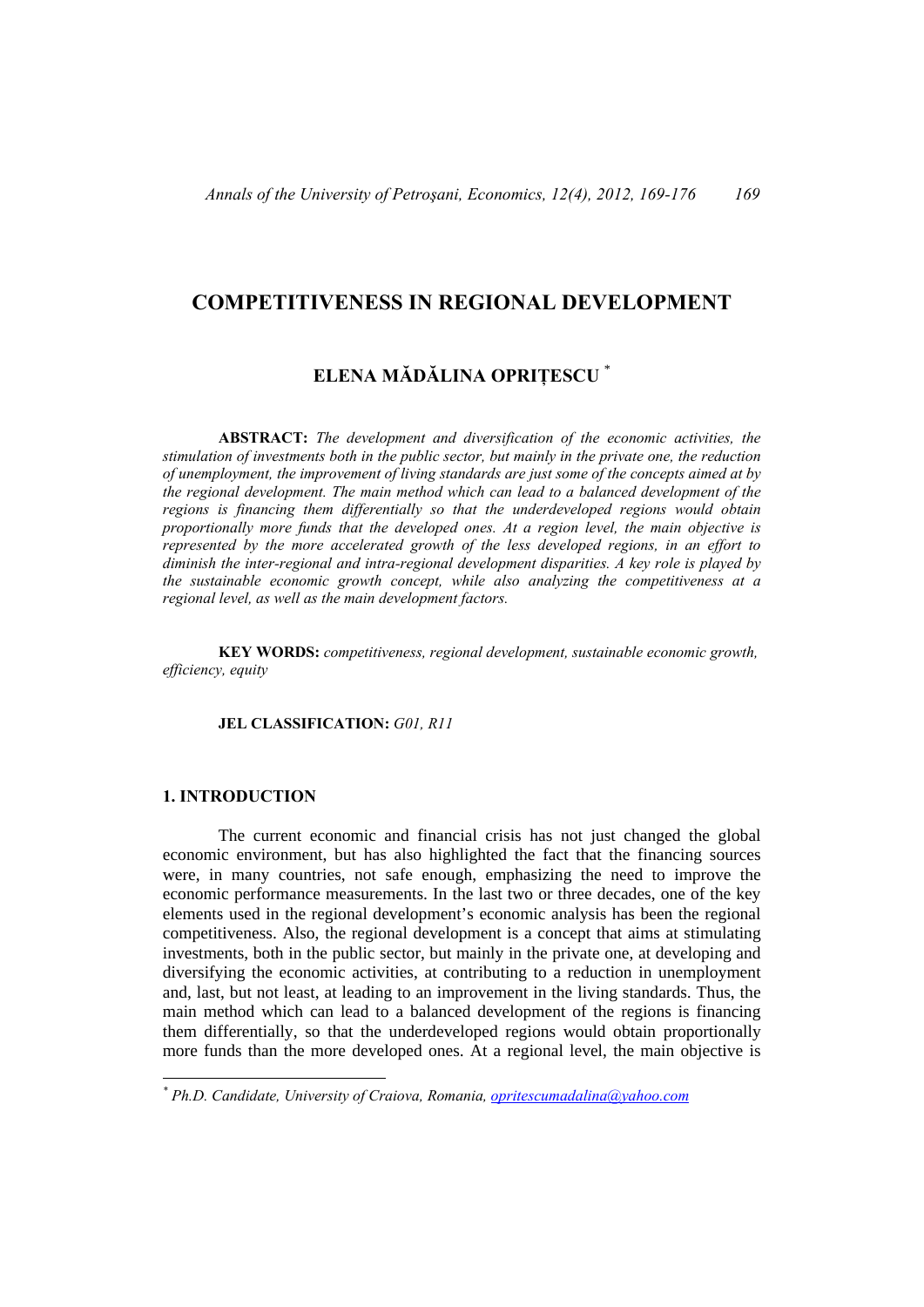# **COMPETITIVENESS IN REGIONAL DEVELOPMENT**

# **ELENA MĂDĂLINA OPRIȚESCU** \*

**ABSTRACT:** *The development and diversification of the economic activities, the stimulation of investments both in the public sector, but mainly in the private one, the reduction of unemployment, the improvement of living standards are just some of the concepts aimed at by the regional development. The main method which can lead to a balanced development of the regions is financing them differentially so that the underdeveloped regions would obtain proportionally more funds that the developed ones. At a region level, the main objective is represented by the more accelerated growth of the less developed regions, in an effort to diminish the inter-regional and intra-regional development disparities. A key role is played by the sustainable economic growth concept, while also analyzing the competitiveness at a regional level, as well as the main development factors.* 

**KEY WORDS:** *competitiveness, regional development, sustainable economic growth, efficiency, equity* 

# **JEL CLASSIFICATION:** *G01, R11*

# **1. INTRODUCTION**

 The current economic and financial crisis has not just changed the global economic environment, but has also highlighted the fact that the financing sources were, in many countries, not safe enough, emphasizing the need to improve the economic performance measurements. In the last two or three decades, one of the key elements used in the regional development's economic analysis has been the regional competitiveness. Also, the regional development is a concept that aims at stimulating investments, both in the public sector, but mainly in the private one, at developing and diversifying the economic activities, at contributing to a reduction in unemployment and, last, but not least, at leading to an improvement in the living standards. Thus, the main method which can lead to a balanced development of the regions is financing them differentially, so that the underdeveloped regions would obtain proportionally more funds than the more developed ones. At a regional level, the main objective is

*<sup>\*</sup> Ph.D. Candidate, University of Craiova, Romania, opritescumadalina@yahoo.com*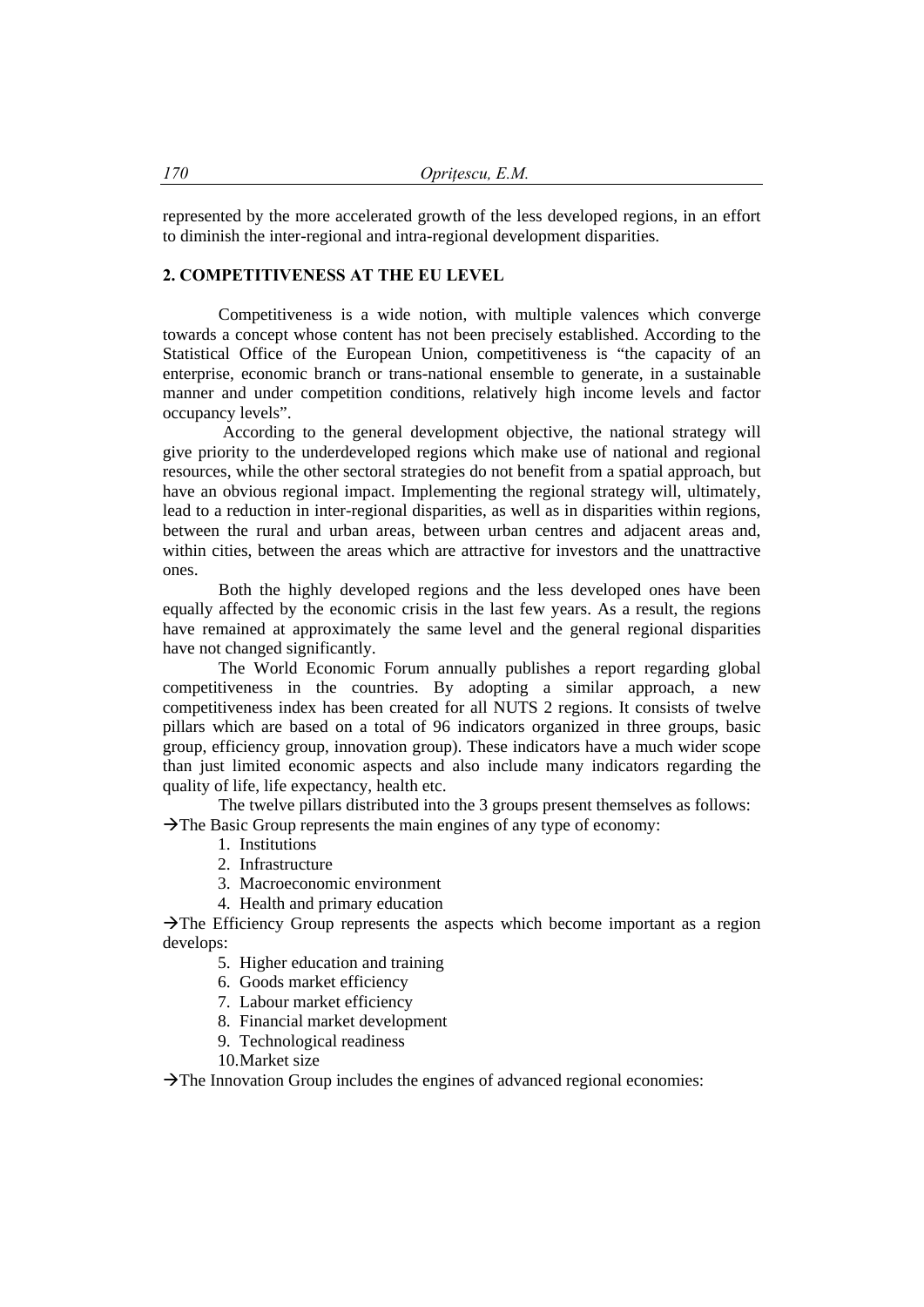represented by the more accelerated growth of the less developed regions, in an effort to diminish the inter-regional and intra-regional development disparities.

# **2. COMPETITIVENESS AT THE EU LEVEL**

Competitiveness is a wide notion, with multiple valences which converge towards a concept whose content has not been precisely established. According to the Statistical Office of the European Union, competitiveness is "the capacity of an enterprise, economic branch or trans-national ensemble to generate, in a sustainable manner and under competition conditions, relatively high income levels and factor occupancy levels".

 According to the general development objective, the national strategy will give priority to the underdeveloped regions which make use of national and regional resources, while the other sectoral strategies do not benefit from a spatial approach, but have an obvious regional impact. Implementing the regional strategy will, ultimately, lead to a reduction in inter-regional disparities, as well as in disparities within regions, between the rural and urban areas, between urban centres and adjacent areas and, within cities, between the areas which are attractive for investors and the unattractive ones.

Both the highly developed regions and the less developed ones have been equally affected by the economic crisis in the last few years. As a result, the regions have remained at approximately the same level and the general regional disparities have not changed significantly.

The World Economic Forum annually publishes a report regarding global competitiveness in the countries. By adopting a similar approach, a new competitiveness index has been created for all NUTS 2 regions. It consists of twelve pillars which are based on a total of 96 indicators organized in three groups, basic group, efficiency group, innovation group). These indicators have a much wider scope than just limited economic aspects and also include many indicators regarding the quality of life, life expectancy, health etc.

The twelve pillars distributed into the 3 groups present themselves as follows:  $\rightarrow$  The Basic Group represents the main engines of any type of economy:

- 1. Institutions
- 2. Infrastructure
- 3. Macroeconomic environment
- 4. Health and primary education

 $\rightarrow$  The Efficiency Group represents the aspects which become important as a region develops:

- 5. Higher education and training
- 6. Goods market efficiency
- 7. Labour market efficiency
- 8. Financial market development
- 9. Technological readiness
- 10.Market size

 $\rightarrow$  The Innovation Group includes the engines of advanced regional economies: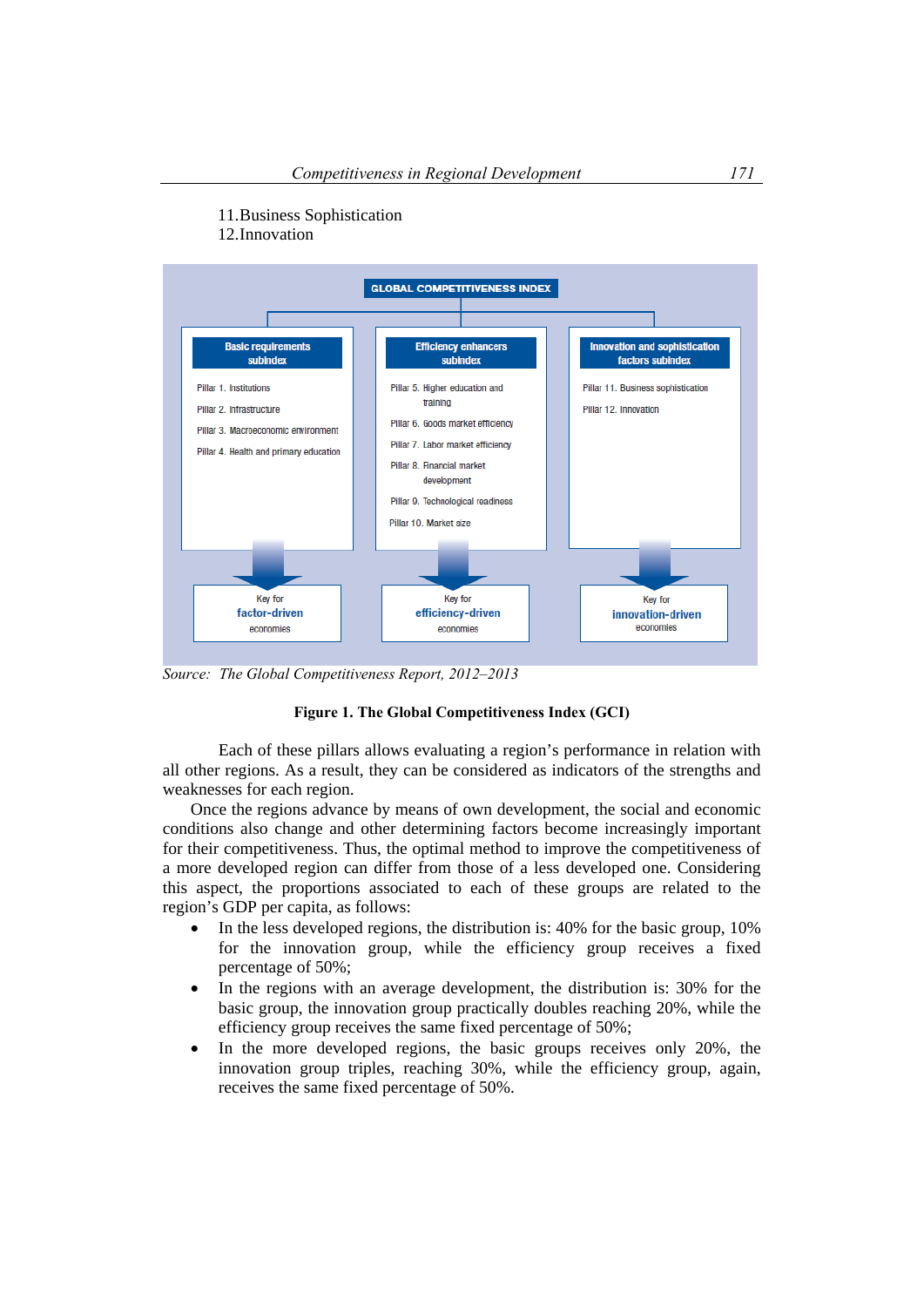



*Source: The Global Competitiveness Report, 2012–2013* 

#### **Figure 1. The Global Competitiveness Index (GCI)**

Each of these pillars allows evaluating a region's performance in relation with all other regions. As a result, they can be considered as indicators of the strengths and weaknesses for each region.

Once the regions advance by means of own development, the social and economic conditions also change and other determining factors become increasingly important for their competitiveness. Thus, the optimal method to improve the competitiveness of a more developed region can differ from those of a less developed one. Considering this aspect, the proportions associated to each of these groups are related to the region's GDP per capita, as follows:

- In the less developed regions, the distribution is:  $40\%$  for the basic group,  $10\%$ for the innovation group, while the efficiency group receives a fixed percentage of 50%;
- In the regions with an average development, the distribution is: 30% for the basic group, the innovation group practically doubles reaching 20%, while the efficiency group receives the same fixed percentage of 50%;
- $\bullet$  In the more developed regions, the basic groups receives only 20%, the innovation group triples, reaching 30%, while the efficiency group, again, receives the same fixed percentage of 50%.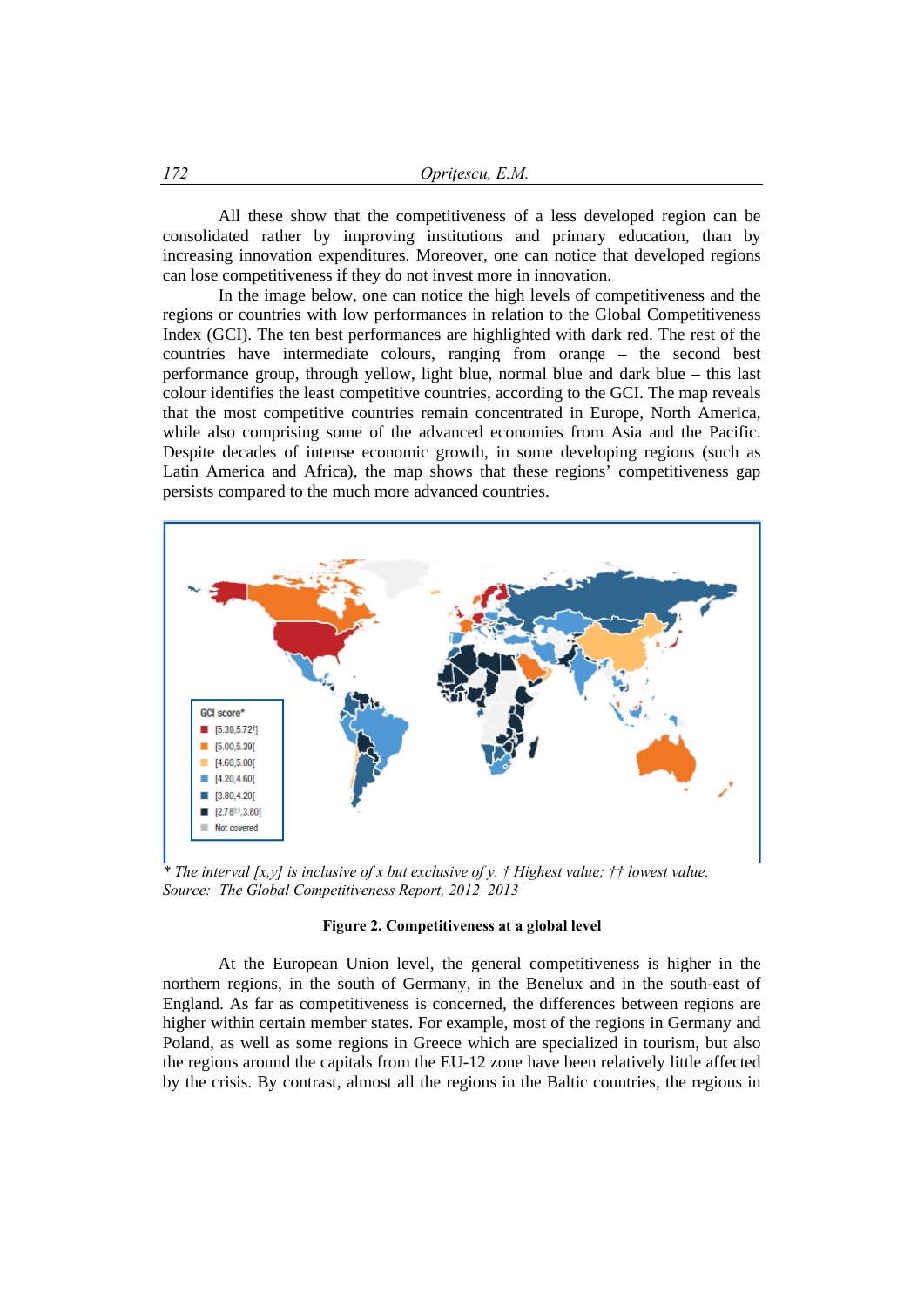All these show that the competitiveness of a less developed region can be consolidated rather by improving institutions and primary education, than by increasing innovation expenditures. Moreover, one can notice that developed regions can lose competitiveness if they do not invest more in innovation.

In the image below, one can notice the high levels of competitiveness and the regions or countries with low performances in relation to the Global Competitiveness Index (GCI). The ten best performances are highlighted with dark red. The rest of the countries have intermediate colours, ranging from orange – the second best performance group, through yellow, light blue, normal blue and dark blue – this last colour identifies the least competitive countries, according to the GCI. The map reveals that the most competitive countries remain concentrated in Europe, North America, while also comprising some of the advanced economies from Asia and the Pacific. Despite decades of intense economic growth, in some developing regions (such as Latin America and Africa), the map shows that these regions' competitiveness gap persists compared to the much more advanced countries.



*\* The interval [x,y] is inclusive of x but exclusive of y. † Highest value; †† lowest value. Source: The Global Competitiveness Report, 2012–2013* 

#### **Figure 2. Competitiveness at a global level**

At the European Union level, the general competitiveness is higher in the northern regions, in the south of Germany, in the Benelux and in the south-east of England. As far as competitiveness is concerned, the differences between regions are higher within certain member states. For example, most of the regions in Germany and Poland, as well as some regions in Greece which are specialized in tourism, but also the regions around the capitals from the EU-12 zone have been relatively little affected by the crisis. By contrast, almost all the regions in the Baltic countries, the regions in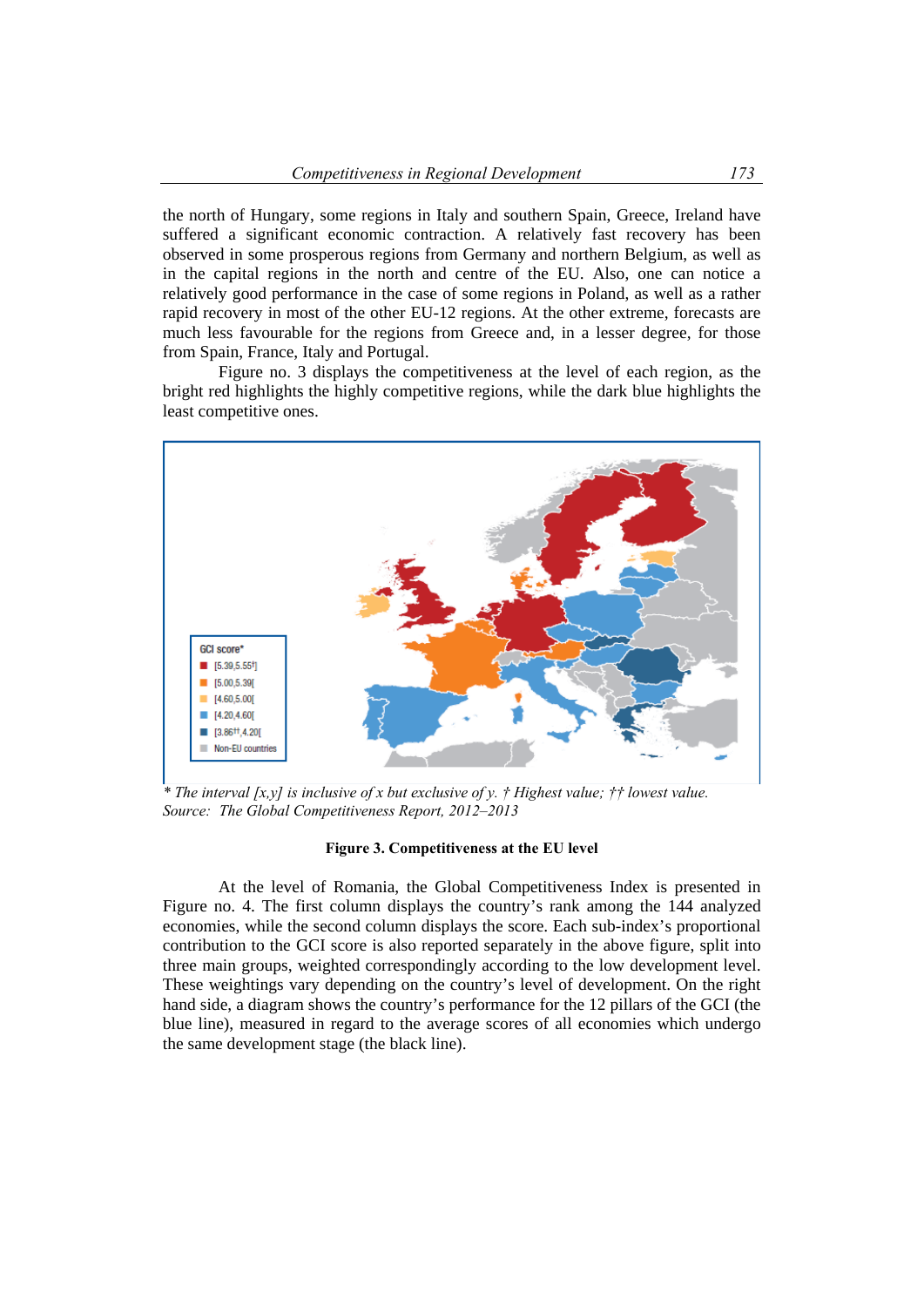the north of Hungary, some regions in Italy and southern Spain, Greece, Ireland have suffered a significant economic contraction. A relatively fast recovery has been observed in some prosperous regions from Germany and northern Belgium, as well as in the capital regions in the north and centre of the EU. Also, one can notice a relatively good performance in the case of some regions in Poland, as well as a rather rapid recovery in most of the other EU-12 regions. At the other extreme, forecasts are much less favourable for the regions from Greece and, in a lesser degree, for those from Spain, France, Italy and Portugal.

Figure no. 3 displays the competitiveness at the level of each region, as the bright red highlights the highly competitive regions, while the dark blue highlights the least competitive ones.



*\* The interval [x,y] is inclusive of x but exclusive of y. † Highest value; †† lowest value. Source: The Global Competitiveness Report, 2012–2013* 

#### **Figure 3. Competitiveness at the EU level**

At the level of Romania, the Global Competitiveness Index is presented in Figure no. 4. The first column displays the country's rank among the 144 analyzed economies, while the second column displays the score. Each sub-index's proportional contribution to the GCI score is also reported separately in the above figure, split into three main groups, weighted correspondingly according to the low development level. These weightings vary depending on the country's level of development. On the right hand side, a diagram shows the country's performance for the 12 pillars of the GCI (the blue line), measured in regard to the average scores of all economies which undergo the same development stage (the black line).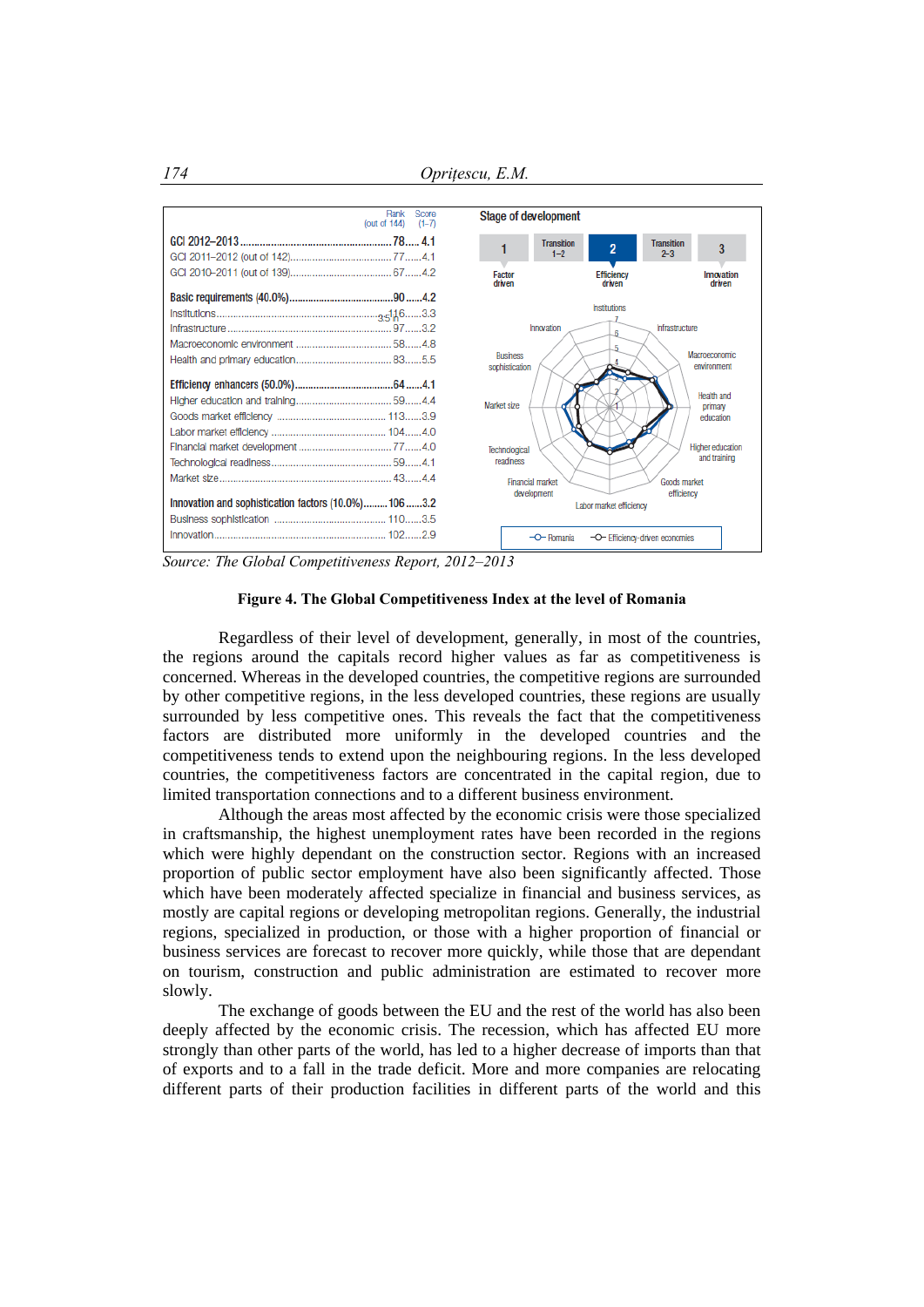

*Source: The Global Competitiveness Report, 2012–2013* 

### **Figure 4. The Global Competitiveness Index at the level of Romania**

Regardless of their level of development, generally, in most of the countries, the regions around the capitals record higher values as far as competitiveness is concerned. Whereas in the developed countries, the competitive regions are surrounded by other competitive regions, in the less developed countries, these regions are usually surrounded by less competitive ones. This reveals the fact that the competitiveness factors are distributed more uniformly in the developed countries and the competitiveness tends to extend upon the neighbouring regions. In the less developed countries, the competitiveness factors are concentrated in the capital region, due to limited transportation connections and to a different business environment.

Although the areas most affected by the economic crisis were those specialized in craftsmanship, the highest unemployment rates have been recorded in the regions which were highly dependant on the construction sector. Regions with an increased proportion of public sector employment have also been significantly affected. Those which have been moderately affected specialize in financial and business services, as mostly are capital regions or developing metropolitan regions. Generally, the industrial regions, specialized in production, or those with a higher proportion of financial or business services are forecast to recover more quickly, while those that are dependant on tourism, construction and public administration are estimated to recover more slowly.

The exchange of goods between the EU and the rest of the world has also been deeply affected by the economic crisis. The recession, which has affected EU more strongly than other parts of the world, has led to a higher decrease of imports than that of exports and to a fall in the trade deficit. More and more companies are relocating different parts of their production facilities in different parts of the world and this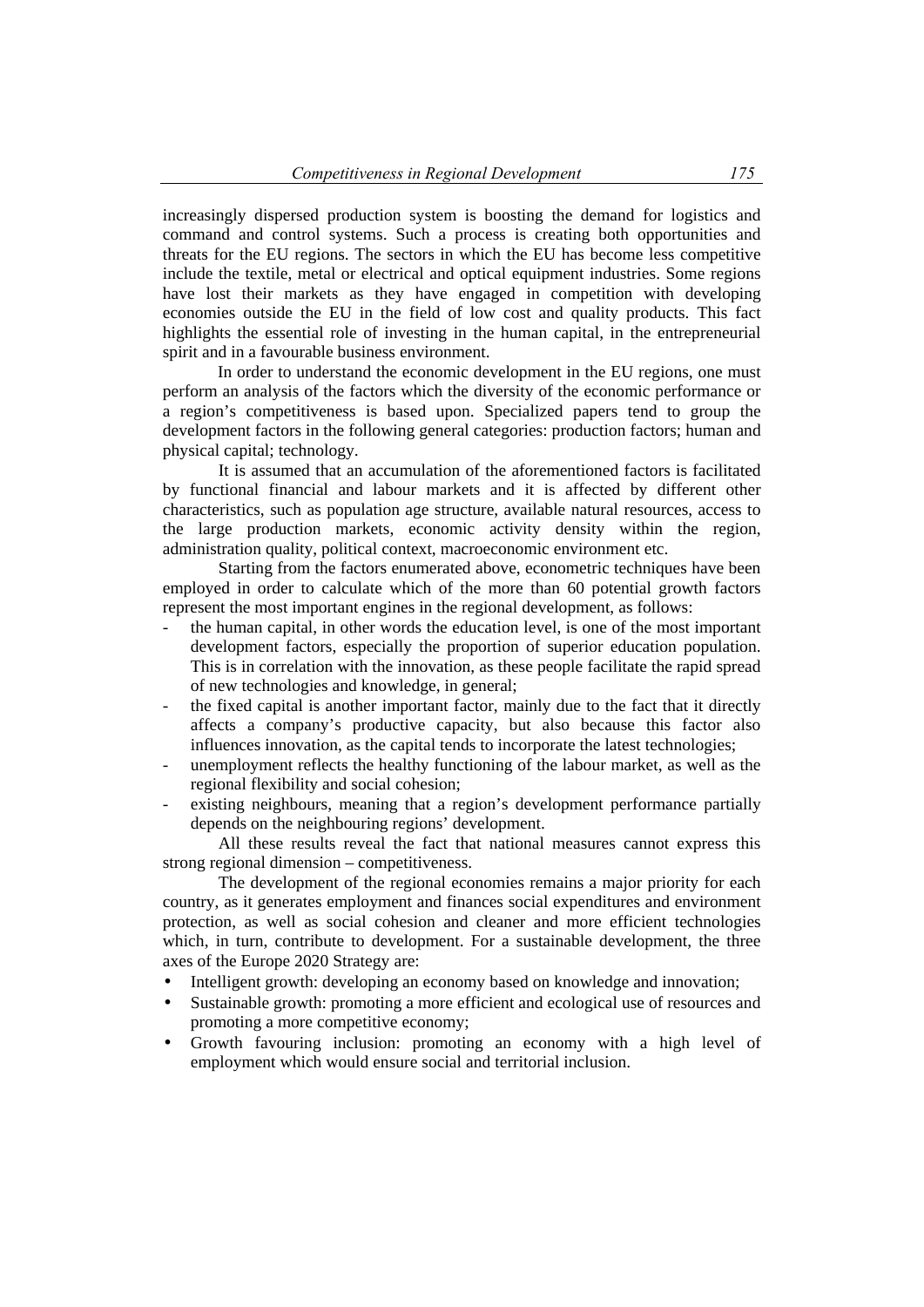increasingly dispersed production system is boosting the demand for logistics and command and control systems. Such a process is creating both opportunities and threats for the EU regions. The sectors in which the EU has become less competitive include the textile, metal or electrical and optical equipment industries. Some regions have lost their markets as they have engaged in competition with developing economies outside the EU in the field of low cost and quality products. This fact highlights the essential role of investing in the human capital, in the entrepreneurial spirit and in a favourable business environment.

In order to understand the economic development in the EU regions, one must perform an analysis of the factors which the diversity of the economic performance or a region's competitiveness is based upon. Specialized papers tend to group the development factors in the following general categories: production factors; human and physical capital; technology.

It is assumed that an accumulation of the aforementioned factors is facilitated by functional financial and labour markets and it is affected by different other characteristics, such as population age structure, available natural resources, access to the large production markets, economic activity density within the region, administration quality, political context, macroeconomic environment etc.

Starting from the factors enumerated above, econometric techniques have been employed in order to calculate which of the more than 60 potential growth factors represent the most important engines in the regional development, as follows:

- the human capital, in other words the education level, is one of the most important development factors, especially the proportion of superior education population. This is in correlation with the innovation, as these people facilitate the rapid spread of new technologies and knowledge, in general;
- the fixed capital is another important factor, mainly due to the fact that it directly affects a company's productive capacity, but also because this factor also influences innovation, as the capital tends to incorporate the latest technologies;
- unemployment reflects the healthy functioning of the labour market, as well as the regional flexibility and social cohesion;
- existing neighbours, meaning that a region's development performance partially depends on the neighbouring regions' development.

All these results reveal the fact that national measures cannot express this strong regional dimension – competitiveness.

The development of the regional economies remains a major priority for each country, as it generates employment and finances social expenditures and environment protection, as well as social cohesion and cleaner and more efficient technologies which, in turn, contribute to development. For a sustainable development, the three axes of the Europe 2020 Strategy are:

- Intelligent growth: developing an economy based on knowledge and innovation;
- Sustainable growth: promoting a more efficient and ecological use of resources and promoting a more competitive economy;
- Growth favouring inclusion: promoting an economy with a high level of employment which would ensure social and territorial inclusion.